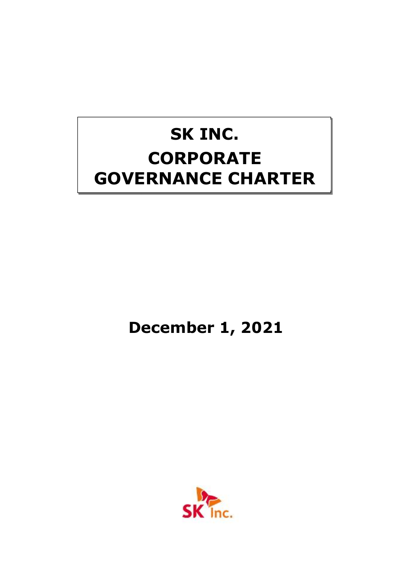# **SK INC. CORPORATE GOVERNANCE CHARTER**

**December 1, 2021**

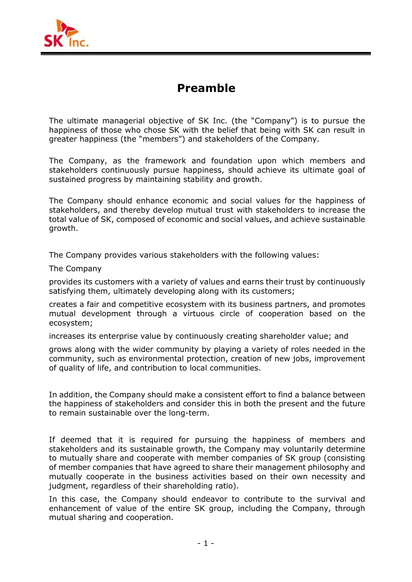

## **Preamble**

The ultimate managerial objective of SK Inc. (the "Company") is to pursue the happiness of those who chose SK with the belief that being with SK can result in greater happiness (the "members") and stakeholders of the Company.

The Company, as the framework and foundation upon which members and stakeholders continuously pursue happiness, should achieve its ultimate goal of sustained progress by maintaining stability and growth.

The Company should enhance economic and social values for the happiness of stakeholders, and thereby develop mutual trust with stakeholders to increase the total value of SK, composed of economic and social values, and achieve sustainable growth.

The Company provides various stakeholders with the following values:

The Company

provides its customers with a variety of values and earns their trust by continuously satisfying them, ultimately developing along with its customers;

creates a fair and competitive ecosystem with its business partners, and promotes mutual development through a virtuous circle of cooperation based on the ecosystem;

increases its enterprise value by continuously creating shareholder value; and

grows along with the wider community by playing a variety of roles needed in the community, such as environmental protection, creation of new jobs, improvement of quality of life, and contribution to local communities.

In addition, the Company should make a consistent effort to find a balance between the happiness of stakeholders and consider this in both the present and the future to remain sustainable over the long-term.

If deemed that it is required for pursuing the happiness of members and stakeholders and its sustainable growth, the Company may voluntarily determine to mutually share and cooperate with member companies of SK group (consisting of member companies that have agreed to share their management philosophy and mutually cooperate in the business activities based on their own necessity and judgment, regardless of their shareholding ratio).<br>In this case, the Company should endeavor to contribute to the survival and

enhancement of value of the entire SK group, including the Company, through mutual sharing and cooperation.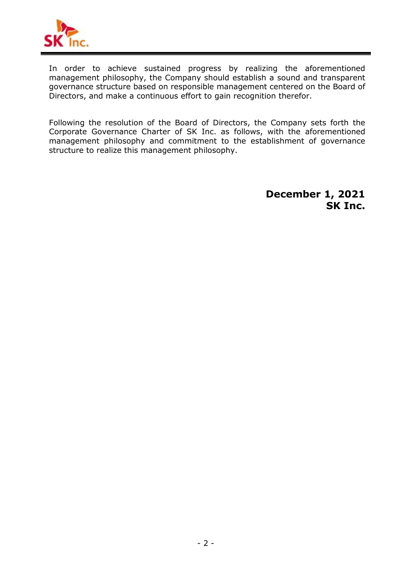

In order to achieve sustained progress by realizing the aforementioned management philosophy, the Company should establish a sound and transparent governance structure based on responsible management centered on the Board of Directors, and make a continuous effort to gain recognition therefor.

Following the resolution of the Board of Directors, the Company sets forth the Corporate Governance Charter of SK Inc. as follows, with the aforementioned management philosophy and commitment to the establishment of governance structure to realize this management philosophy.

> **December 1, 2021 SK Inc.**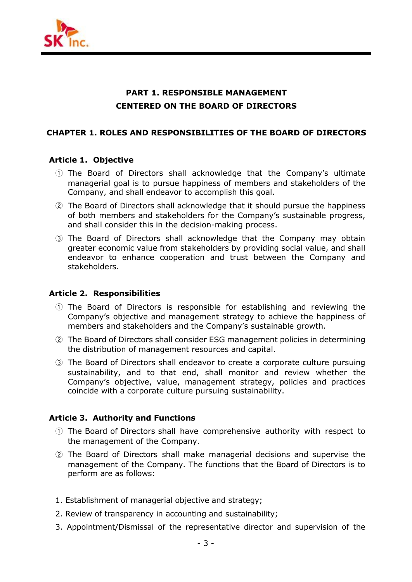

## **PART 1. RESPONSIBLE MANAGEMENT CENTERED ON THE BOARD OF DIRECTORS**

#### **CHAPTER 1. ROLES AND RESPONSIBILITIES OF THE BOARD OF DIRECTORS**

#### **Article 1. Objective**

- ① The Board of Directors shall acknowledge that the Company's ultimate managerial goal is to pursue happiness of members and stakeholders of the Company, and shall endeavor to accomplish this goal.
- ② The Board of Directors shall acknowledge that it should pursue the happiness of both members and stakeholders for the Company's sustainable progress, and shall consider this in the decision-making process.
- ③ The Board of Directors shall acknowledge that the Company may obtain greater economic value from stakeholders by providing social value, and shall endeavor to enhance cooperation and trust between the Company and stakeholders.

## **Article 2. Responsibilities**

- ① The Board of Directors is responsible for establishing and reviewing the Company's objective and management strategy to achieve the happiness of members and stakeholders and the Company's sustainable growth.
- ② The Board of Directors shall consider ESG management policies in determining the distribution of management resources and capital.
- ③ The Board of Directors shall endeavor to create a corporate culture pursuing sustainability, and to that end, shall monitor and review whether the Company's objective, value, management strategy, policies and practices coincide with a corporate culture pursuing sustainability.

## **Article 3. Authority and Functions**

- ① The Board of Directors shall have comprehensive authority with respect to the management of the Company.
- ② The Board of Directors shall make managerial decisions and supervise the management of the Company. The functions that the Board of Directors is to perform are as follows:
- 1. Establishment of managerial objective and strategy;
- 2. Review of transparency in accounting and sustainability;
- 3. Appointment/Dismissal of the representative director and supervision of the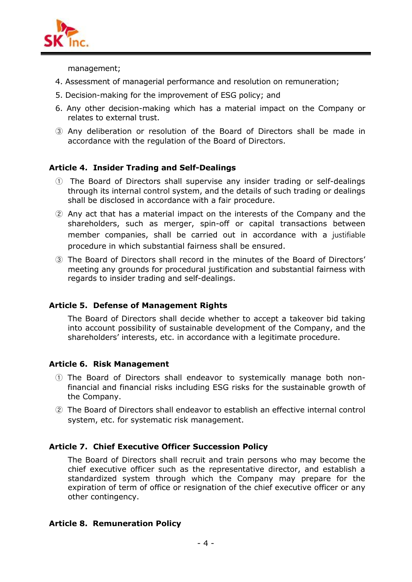

management;

- 4. Assessment of managerial performance and resolution on remuneration;
- 5. Decision-making for the improvement of ESG policy; and
- 6. Any other decision-making which has a material impact on the Company or relates to external trust.
- ③ Any deliberation or resolution of the Board of Directors shall be made in accordance with the regulation of the Board of Directors.

## **Article 4. Insider Trading and Self-Dealings**

- ① The Board of Directors shall supervise any insider trading or self-dealings through its internal control system, and the details of such trading or dealings shall be disclosed in accordance with a fair procedure.
- ② Any actthat has a material impact on the interests of the Company and the shareholders, such as merger, spin-off or capital transactions between member companies, shall be carried out in accordance with a justifiable procedure in which substantial fairness shall be ensured.
- ③ The Board of Directors shall record in the minutes of the Board of Directors' meeting any grounds for procedural justification and substantial fairness with regards to insider trading and self-dealings.

## **Article 5. Defense of Management Rights**

The Board of Directors shall decide whether to accept a takeover bid taking into account possibility of sustainable development of the Company, and the shareholders' interests, etc. in accordance with a legitimate procedure.

## **Article 6. Risk Management**

- ① The Board of Directors shall endeavor to systemically manage both nonfinancial and financial risks including ESG risks for the sustainable growth of the Company.
- ② The Board of Directors shall endeavor to establish an effective internal control system, etc. for systematic risk management.

## **Article 7. Chief Executive Officer Succession Policy**

The Board of Directors shall recruit and train persons who may become the chief executive officer such as the representative director, and establish a standardized system through which the Company may prepare for the expiration of term of office or resignation of the chief executive officer or any other contingency.

## **Article 8. Remuneration Policy**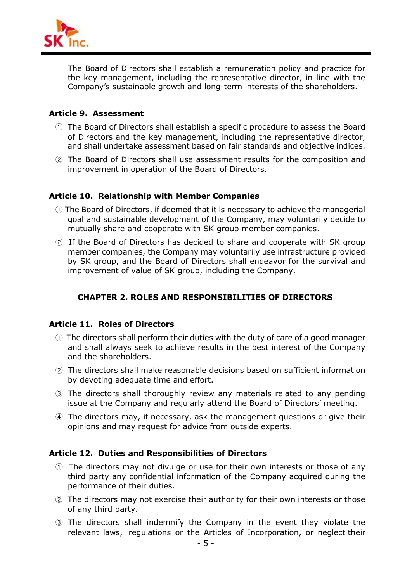

The Board of Directors shall establish a remuneration policy and practice for the key management, including the representative director, in line with the Company's sustainable growth and long-term interests of the shareholders.

## **Article 9. Assessment**

- ① The Board of Directors shall establish a specific procedure to assess the Board of Directors and the key management, including the representative director, and shall undertake assessment based on fair standards and objective indices.
- ② The Board of Directors shall use assessment results for the composition and improvement in operation of the Board of Directors.

## **Article 10. Relationship with Member Companies**

- ① The Board of Directors, if deemed that it is necessary to achieve the managerial goal and sustainable development of the Company, may voluntarily decide to mutually share and cooperate with SK group member companies.
- ② If the Board of Directors has decided to share and cooperate with SK group member companies, the Company may voluntarily use infrastructure provided by SK group, and the Board of Directors shall endeavor for the survival and improvement of value of SK group, including the Company.

## **CHAPTER 2. ROLES AND RESPONSIBILITIES OF DIRECTORS**

## **Article 11. Roles of Directors**

- ① The directors shall perform their duties with the duty of care of a good manager and shall always seek to achieve results in the best interest of the Company and the shareholders.
- ② The directors shall make reasonable decisions based on sufficient information by devoting adequate time and effort.
- ③ The directors shall thoroughly review any materials related to any pending issue at the Company and regularly attend the Board of Directors' meeting.
- ④ The directors may, if necessary, ask the management questions or give their opinions and may request for advice from outside experts.

## **Article 12. Duties and Responsibilities of Directors**

- ① The directors may not divulge or use for their own interests or those of any third party any confidential information of the Company acquired during the performance of their duties.
- ② The directors may not exercise their authority for their own interests or those of any third party. performance or their duties.<br>The directors may not exercise their authority for their own interests or those<br>of any third party.<br>The directors shall indemnify the Company in the event they violate the<br>relevant laws, regula
- ③ The directors shall indemnify the Company in the event they violate the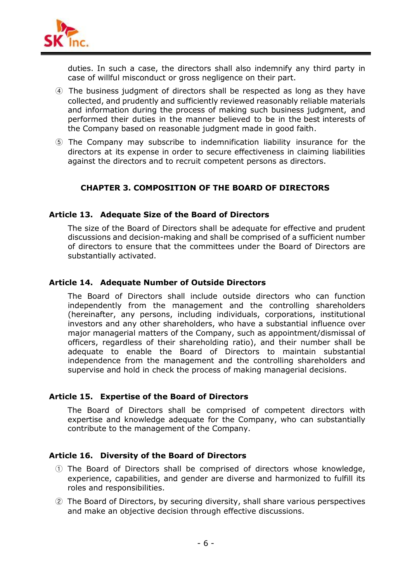

duties. In such a case, the directors shall also indemnify any third party in case of willful misconduct or gross negligence on their part.

- ④ The business judgment of directors shall be respected as long as they have collected, and prudently and sufficiently reviewed reasonably reliable materials and information during the process of making such business judgment, and performed their duties in the manner believed to be in the best interests of the Company based on reasonable judgment made in good faith.
- ⑤ The Company may subscribe to indemnification liability insurance for the directors at its expense in order to secure effectiveness in claiming liabilities against the directors and to recruit competent persons as directors.

## **CHAPTER 3. COMPOSITION OF THE BOARD OF DIRECTORS**

## **Article 13. Adequate Size of the Board of Directors**

The size of the Board of Directors shall be adequate for effective and prudent discussions and decision-making and shall be comprised of a sufficient number of directors to ensure that the committees under the Board of Directors are substantially activated.

## **Article 14. Adequate Number of Outside Directors**

The Board of Directors shall include outside directors who can function independently from the management and the controlling shareholders (hereinafter, any persons, including individuals, corporations, institutional investors and any other shareholders, who have a substantial influence over major managerial matters of the Company, such as appointment/dismissal of officers, regardless of their shareholding ratio), and their number shall be adequate to enable the Board of Directors to maintain substantial independence from the management and the controlling shareholders and supervise and hold in check the process of making managerial decisions.

## **Article 15. Expertise of the Board of Directors**

The Board of Directors shall be comprised of competent directors with expertise and knowledge adequate for the Company, who can substantially contribute to the management of the Company.

## **Article 16. Diversity of the Board of Directors**

- ① The Board of Directors shall be comprised of directors whose knowledge, experience, capabilities, and gender are diverse and harmonized to fulfill its roles and responsibilities.
- ② The Board of Directors, by securing diversity, shall share various perspectives and make an objective decision through effective discussions.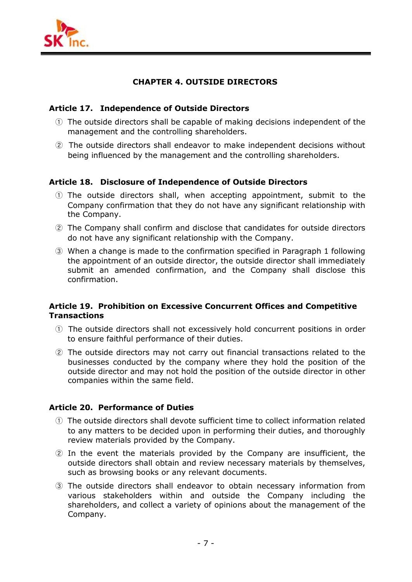

## **CHAPTER 4. OUTSIDE DIRECTORS**

## **Article 17. Independence of Outside Directors**

- ① The outside directors shall be capable of making decisions independent of the management and the controlling shareholders.
- ② The outside directors shall endeavor to make independent decisions without being influenced by the management and the controlling shareholders.

## **Article 18. Disclosure of Independence of Outside Directors**

- ① The outside directors shall, when accepting appointment, submit to the Company confirmation that they do not have any significant relationship with the Company.
- ② The Company shall confirm and disclose that candidates for outside directors do not have any significant relationship with the Company.
- ③ When a change is made to the confirmation specified in Paragraph 1 following the appointment of an outside director, the outside director shall immediately submit an amended confirmation, and the Company shall disclose this confirmation.

## **Article 19. Prohibition on Excessive Concurrent Offices and Competitive Transactions**

- ① The outside directors shall not excessively hold concurrent positions in order to ensure faithful performance of their duties.
- ② The outside directors may not carry out financial transactions related to the businesses conducted by the company where they hold the position of the outside director and may not hold the position of the outside director in other companies within the same field.

## **Article 20. Performance of Duties**

- ① The outside directors shall devote sufficient time to collect information related to any matters to be decided upon in performing their duties, and thoroughly review materials provided by the Company.
- ② In the event the materials provided by the Company are insufficient, the outside directors shall obtain and review necessary materials by themselves, such as browsing books or any relevant documents.
- ③ The outside directors shall endeavor to obtain necessary information from various stakeholders within and outside the Company including the shareholders, and collect a variety of opinions about the management of the Company.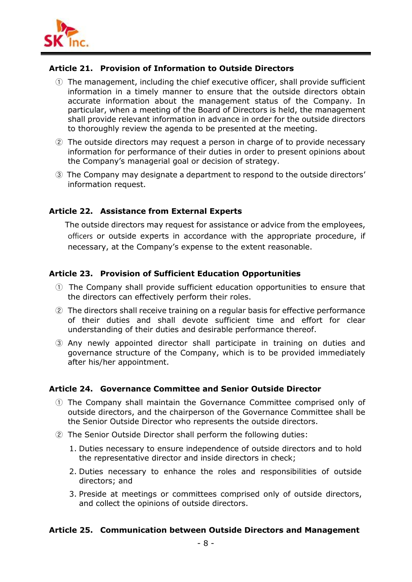

## **Article 21. Provision of Information to Outside Directors**

- ① The management, including the chief executive officer, shall provide sufficient information in a timely manner to ensure that the outside directors obtain accurate information about the management status of the Company. In particular, when a meeting of the Board of Directors is held, the management shall provide relevant information in advance in order for the outside directors to thoroughly review the agenda to be presented at the meeting.
- ② The outside directors may request a person in charge of to provide necessary information for performance of their duties in order to present opinions about the Company's managerial goal or decision of strategy.
- ③ The Company may designate a department to respond to the outside directors' information request.

## **Article 22. Assistance from External Experts**

The outside directors may request for assistance or advice from the employees, officers or outside experts in accordance with the appropriate procedure, if necessary, at the Company's expense to the extent reasonable.

## **Article 23. Provision of Sufficient Education Opportunities**

- ① The Company shall provide sufficient education opportunities to ensure that the directors can effectively perform their roles.
- ② The directors shall receive training on a regular basis for effective performance of their duties and shall devote sufficient time and effort for clear understanding of their duties and desirable performance thereof.
- ③ Any newly appointed director shall participate in training on duties and governance structure of the Company, which is to be provided immediately after his/her appointment.

## **Article 24. Governance Committee and Senior Outside Director**

- ① The Company shall maintain the Governance Committee comprised only of outside directors, and the chairperson of the Governance Committee shall be the Senior Outside Director who represents the outside directors.
- ② The Senior Outside Director shall perform the following duties:
	- 1. Duties necessary to ensure independence of outside directors and to hold the representative director and inside directors in check;
	- 2. Duties necessary to enhance the roles and responsibilities of outside directors; and
	- 3. Preside at meetings or committees comprised only of outside directors, and collect the opinions of outside directors.

## **Article 25. Communication between Outside Directors and Management**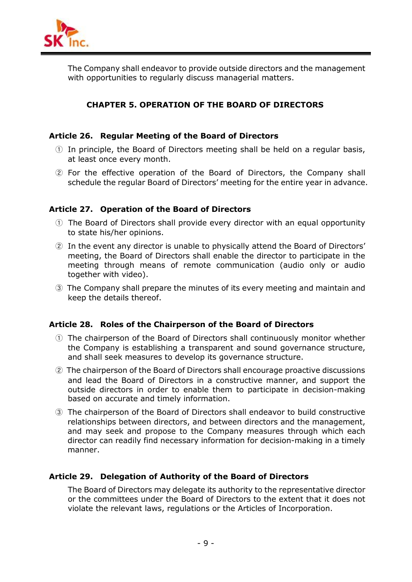

The Company shall endeavor to provide outside directors and the management with opportunities to regularly discuss managerial matters.

## **CHAPTER 5. OPERATION OF THE BOARD OF DIRECTORS**

## **Article 26. Regular Meeting of the Board of Directors**

- ① In principle, the Board of Directors meeting shall be held on a regular basis, at least once every month.
- ② For the effective operation of the Board of Directors, the Company shall schedule the regular Board of Directors' meeting for the entire year in advance.

## **Article 27. Operation of the Board of Directors**

- ① The Board of Directors shall provide every director with an equal opportunity to state his/her opinions.
- ② In the event any director is unable to physically attend the Board of Directors' meeting, the Board of Directors shall enable the director to participate in the meeting through means of remote communication (audio only or audio together with video).
- ③ The Company shall prepare the minutes of its every meeting and maintain and keep the details thereof.

## **Article 28. Roles of the Chairperson of the Board of Directors**

- ① The chairperson of the Board of Directors shall continuously monitor whether the Company is establishing a transparent and sound governance structure, and shall seek measures to develop its governance structure.
- ② The chairperson of the Board of Directors shall encourage proactive discussions and lead the Board of Directors in a constructive manner, and support the outside directors in order to enable them to participate in decision-making based on accurate and timely information.
- ③ The chairperson of the Board of Directors shall endeavor to build constructive relationships between directors, and between directors and the management, and may seek and propose to the Company measures through which each director can readily find necessary information for decision-making in a timely manner.

## **Article 29. Delegation of Authority of the Board of Directors**

The Board of Directors may delegate its authority to the representative director or the committees under the Board of Directors to the extent that it does not violate the relevant laws, regulations or the Articles of Incorporation.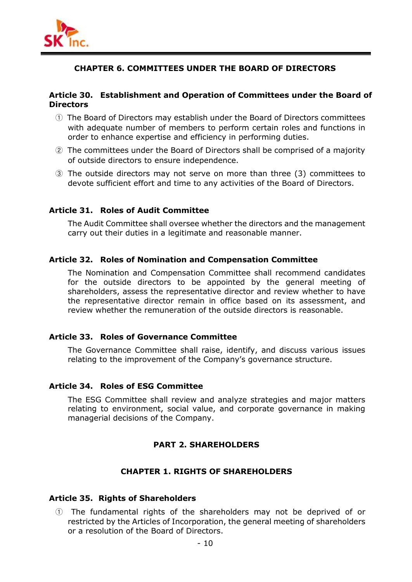

## **CHAPTER 6. COMMITTEES UNDER THE BOARD OF DIRECTORS**

## **Article 30. Establishment and Operation of Committees under the Board of Directors**

- ① The Board of Directors may establish under the Board of Directors committees with adequate number of members to perform certain roles and functions in order to enhance expertise and efficiency in performing duties.
- ② The committees under the Board of Directors shall be comprised of a majority of outside directors to ensure independence.
- ③ The outside directors may not serve on more than three (3) committees to devote sufficient effort and time to any activities of the Board of Directors.

#### **Article 31. Roles of Audit Committee**

The Audit Committee shall oversee whether the directors and the management carry out their duties in a legitimate and reasonable manner.

#### **Article 32. Roles of Nomination and Compensation Committee**

The Nomination and Compensation Committee shall recommend candidates for the outside directors to be appointed by the general meeting of shareholders, assess the representative director and review whether to have the representative director remain in office based on its assessment, and review whether the remuneration of the outside directors is reasonable.

## **Article 33. Roles of Governance Committee**

The Governance Committee shall raise, identify, and discuss various issues relating to the improvement of the Company's governance structure.

#### **Article 34. Roles of ESG Committee**

The ESG Committee shall review and analyze strategies and major matters relating to environment, social value, and corporate governance in making managerial decisions of the Company.

## **PART 2. SHAREHOLDERS**

#### **CHAPTER 1. RIGHTS OF SHAREHOLDERS**

#### **Article 35. Rights of Shareholders**

① The fundamental rights of the shareholders may not be deprived of or restricted by the Articles of Incorporation, the general meeting of shareholders or a resolution of the Board of Directors.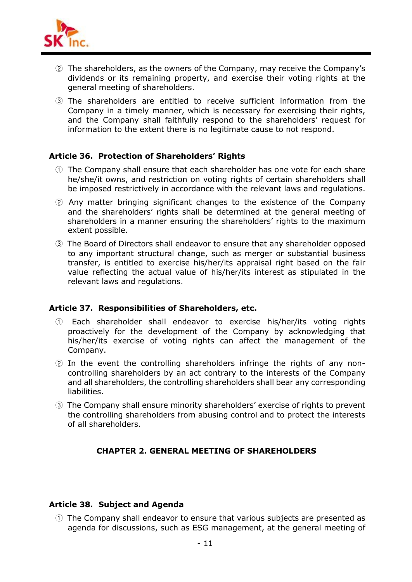

- ② The shareholders, as the owners of the Company, may receive the Company's dividends or its remaining property, and exercise their voting rights at the general meeting of shareholders.
- ③ The shareholders are entitled to receive sufficient information from the Company in a timely manner, which is necessary for exercising their rights, and the Company shall faithfully respond to the shareholders' request for information to the extent there is no legitimate cause to not respond.

## **Article 36. Protection of Shareholders' Rights**

- ① The Company shall ensure that each shareholder has one vote for each share he/she/it owns, and restriction on voting rights of certain shareholders shall be imposed restrictively in accordance with the relevant laws and regulations.
- ② Any matter bringing significant changes to the existence of the Company and the shareholders' rights shall be determined at the general meeting of shareholders in a manner ensuring the shareholders' rights to the maximum extent possible.
- ③ The Board of Directors shall endeavor to ensure that any shareholder opposed to any important structural change, such as merger or substantial business transfer, is entitled to exercise his/her/its appraisal right based on the fair value reflecting the actual value of his/her/its interest as stipulated in the relevant laws and regulations.

## **Article 37. Responsibilities of Shareholders, etc.**

- ① Each shareholder shall endeavor to exercise his/her/its voting rights proactively for the development of the Company by acknowledging that his/her/its exercise of voting rights can affect the management of the Company.
- ② In the event the controlling shareholders infringe the rights of any non controlling shareholders by an act contrary to the interests of the Company and all shareholders, the controlling shareholders shall bear any corresponding liabilities.
- ③ The Company shall ensure minority shareholders' exercise of rights to prevent the controlling shareholders from abusing control and to protect the interests of all shareholders.

## **CHAPTER 2. GENERAL MEETING OF SHAREHOLDERS**

## **Article 38. Subject and Agenda**

① The Company shall endeavor to ensure that various subjects are presented as agenda for discussions, such as ESG management, at the general meeting of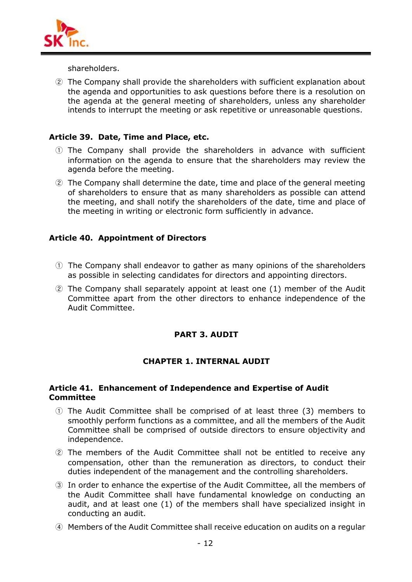

shareholders.

② The Company shall provide the shareholders with sufficient explanation about the agenda and opportunities to ask questions before there is a resolution on the agenda at the general meeting of shareholders, unless any shareholder intends to interrupt the meeting or ask repetitive or unreasonable questions.

## **Article 39. Date, Time and Place, etc.**

- ① The Company shall provide the shareholders in advance with sufficient information on the agenda to ensure that the shareholders may review the agenda before the meeting.
- ② The Company shall determine the date, time and place of the general meeting of shareholders to ensure that as many shareholders as possible can attend the meeting, and shall notify the shareholders of the date, time and place of the meeting in writing or electronic form sufficiently in advance.

## **Article 40. Appointment of Directors**

- ① The Company shall endeavor to gather as many opinions of the shareholders as possible in selecting candidates for directors and appointing directors.
- ② The Company shall separately appoint at least one (1) member of the Audit Committee apart from the other directors to enhance independence of the Audit Committee.

## **PART 3. AUDIT**

## **CHAPTER 1. INTERNAL AUDIT**

#### **Article 41. Enhancement of Independence and Expertise of Audit Committee**

- ① The Audit Committee shall be comprised of at least three (3) members to smoothly perform functions as a committee, and all the members of the Audit Committee shall be comprised of outside directors to ensure objectivity and independence.
- ② The members of the Audit Committee shall not be entitled to receive any compensation, other than the remuneration as directors, to conduct their duties independent of the management and the controlling shareholders.
- ③ In order to enhance the expertise of the Audit Committee, all the members of the Audit Committee shall have fundamental knowledge on conducting an audit, and at least one (1) of the members shall have specialized insight in conducting an audit.
- ④ Members of the Audit Committee shall receive education on audits on a regular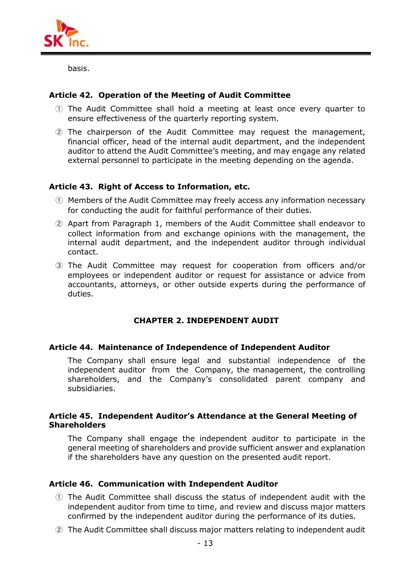

basis.

## **Article 42. Operation of the Meeting of Audit Committee**

- ① The Audit Committee shall hold a meeting at least once every quarter to ensure effectiveness of the quarterly reporting system.
- ② The chairperson of the Audit Committee may request the management, financial officer, head of the internal audit department, and the independent auditor to attend the Audit Committee's meeting, and may engage any related external personnel to participate in the meeting depending on the agenda.

## **Article 43. Right of Access to Information, etc.**

- ① Members of the Audit Committee may freely access any information necessary for conducting the audit for faithful performance of their duties.
- ② Apart from Paragraph 1, members of the Audit Committee shall endeavor to collect information from and exchange opinions with the management, the internal audit department, and the independent auditor through individual contact.
- ③ The Audit Committee may request for cooperation from officers and/or employees or independent auditor or request for assistance or advice from accountants, attorneys, or other outside experts during the performance of duties.

## **CHAPTER 2. INDEPENDENT AUDIT**

## **Article 44. Maintenance of Independence of Independent Auditor**

The Company shall ensure legal and substantial independence of the independent auditor from the Company, the management, the controlling shareholders, and the Company's consolidated parent company and subsidiaries.

#### **Article 45. Independent Auditor's Attendance at the General Meeting of Shareholders**

The Company shall engage the independent auditor to participate in the general meeting of shareholders and provide sufficient answer and explanation if the shareholders have any question on the presented audit report.

## **Article 46. Communication with Independent Auditor**

- ① The Audit Committee shall discuss the status of independent audit with the independent auditor from time to time, and review and discuss major matters confirmed by the independent auditor during the performance of its duties.
- ② The Audit Committee shall discuss major matters relating to independent audit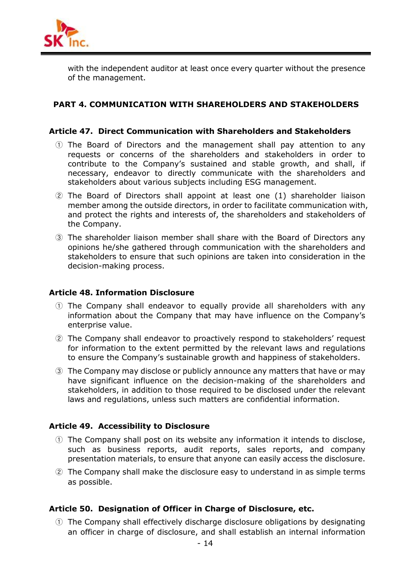

with the independent auditor at least once every quarter without the presence of the management.

## **PART 4. COMMUNICATION WITH SHAREHOLDERS AND STAKEHOLDERS**

#### **Article 47. Direct Communication with Shareholders and Stakeholders**

- ① The Board of Directors and the management shall pay attention to any requests or concerns of the shareholders and stakeholders in order to contribute to the Company's sustained and stable growth, and shall, if necessary, endeavor to directly communicate with the shareholders and stakeholders about various subjects including ESG management.
- ② The Board of Directors shall appoint at least one (1) shareholder liaison member among the outside directors, in order to facilitate communication with, and protect the rights and interests of, the shareholders and stakeholders of the Company.
- ③ The shareholder liaison member shall share with the Board of Directors any opinions he/she gathered through communication with the shareholders and stakeholders to ensure that such opinions are taken into consideration in the decision-making process.

#### **Article 48. Information Disclosure**

- ① The Company shall endeavor to equally provide all shareholders with any information about the Company that may have influence on the Company's enterprise value.
- ② The Company shall endeavor to proactively respond to stakeholders' request for information to the extent permitted by the relevant laws and regulations to ensure the Company's sustainable growth and happiness of stakeholders.
- ③ The Company may disclose or publicly announce any matters that have or may have significant influence on the decision-making of the shareholders and stakeholders, in addition to those required to be disclosed under the relevant laws and regulations, unless such matters are confidential information.

## **Article 49. Accessibility to Disclosure**

- <sup>①</sup> The Company shall post on its website any information it intends to disclose, such as business reports, audit reports, sales reports, and company presentation materials, to ensure that anyone can easily access the disclosure.
- ② The Company shall make the disclosure easy to understand in as simple terms as possible.

## **Article 50. Designation of Officer in Charge of Disclosure, etc.**

① The Company shall effectively discharge disclosure obligations by designating an officer in charge of disclosure, and shall establish an internal information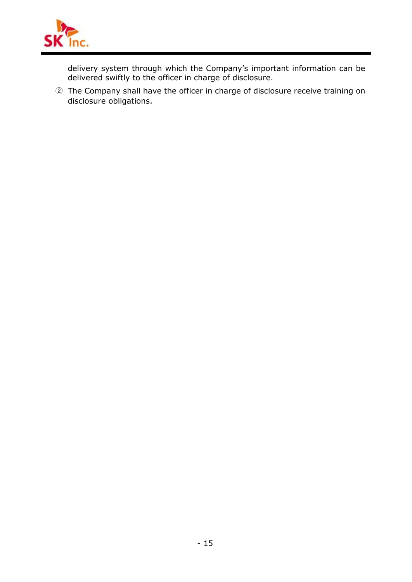

delivery system through which the Company's important information can be delivered swiftly to the officer in charge of disclosure.

② The Company shall have the officer in charge of disclosure receive training on disclosure obligations.